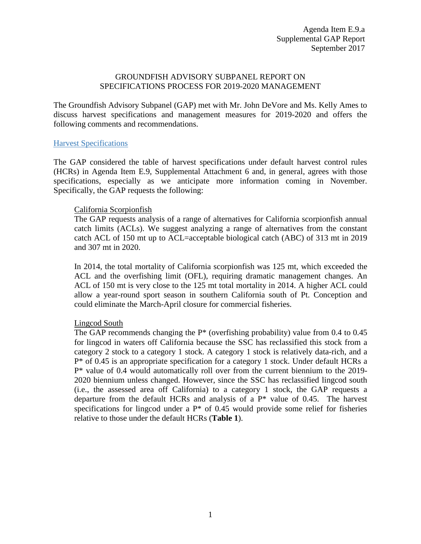### GROUNDFISH ADVISORY SUBPANEL REPORT ON SPECIFICATIONS PROCESS FOR 2019-2020 MANAGEMENT

The Groundfish Advisory Subpanel (GAP) met with Mr. John DeVore and Ms. Kelly Ames to discuss harvest specifications and management measures for 2019-2020 and offers the following comments and recommendations.

#### Harvest Specifications

The GAP considered the table of harvest specifications under default harvest control rules (HCRs) in Agenda Item E.9, Supplemental Attachment 6 and, in general, agrees with those specifications, especially as we anticipate more information coming in November. Specifically, the GAP requests the following:

#### California Scorpionfish

The GAP requests analysis of a range of alternatives for California scorpionfish annual catch limits (ACLs). We suggest analyzing a range of alternatives from the constant catch ACL of 150 mt up to ACL=acceptable biological catch (ABC) of 313 mt in 2019 and 307 mt in 2020.

In 2014, the total mortality of California scorpionfish was 125 mt, which exceeded the ACL and the overfishing limit (OFL), requiring dramatic management changes. An ACL of 150 mt is very close to the 125 mt total mortality in 2014. A higher ACL could allow a year-round sport season in southern California south of Pt. Conception and could eliminate the March-April closure for commercial fisheries.

#### Lingcod South

The GAP recommends changing the  $P^*$  (overfishing probability) value from 0.4 to 0.45 for lingcod in waters off California because the SSC has reclassified this stock from a category 2 stock to a category 1 stock. A category 1 stock is relatively data-rich, and a P\* of 0.45 is an appropriate specification for a category 1 stock. Under default HCRs a P\* value of 0.4 would automatically roll over from the current biennium to the 2019- 2020 biennium unless changed. However, since the SSC has reclassified lingcod south (i.e., the assessed area off California) to a category 1 stock, the GAP requests a departure from the default HCRs and analysis of a  $P^*$  value of 0.45. The harvest specifications for lingcod under a  $P^*$  of 0.45 would provide some relief for fisheries relative to those under the default HCRs (**[Table 1](#page-1-0)**).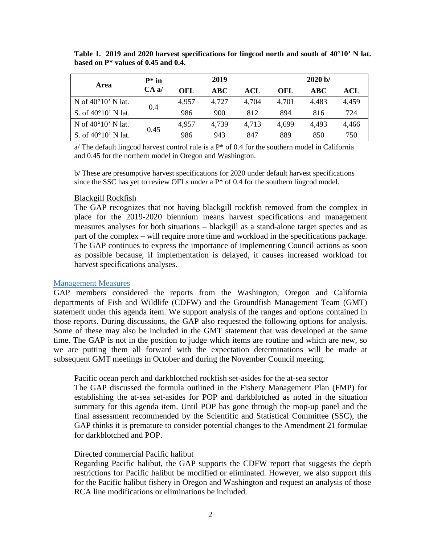| Area                         | $P^*$ in<br>CAa/ | 2019  |       |                                  | 2020 b/ |            |       |
|------------------------------|------------------|-------|-------|----------------------------------|---------|------------|-------|
|                              |                  | OFL   | ABC   | $\mathbf{A}\mathbf{C}\mathbf{L}$ | OFL     | <b>ABC</b> | ACL   |
| N of $40^{\circ}10'$ N lat.  | 0.4              | 4,957 | 4,727 | 4,704                            | 4,701   | 4,483      | 4,459 |
| S. of $40^{\circ}10'$ N lat. |                  | 986   | 900   | 812                              | 894     | 816        | 724   |
| N of $40^{\circ}10'$ N lat.  | 0.45             | 4,957 | 4,739 | 4,713                            | 4,699   | 4,493      | 4,466 |
| S. of $40^{\circ}10'$ N lat. |                  | 986   | 943   | 847                              | 889     | 850        | 750   |

<span id="page-1-0"></span>**Table 1. 2019 and 2020 harvest specifications for lingcod north and south of 40°10' N lat. based on P\* values of 0.45 and 0.4.**

 $a$  The default lingcod harvest control rule is a  $P^*$  of 0.4 for the southern model in California and 0.45 for the northern model in Oregon and Washington.

b/ These are presumptive harvest specifications for 2020 under default harvest specifications since the SSC has yet to review OFLs under a  $P^*$  of 0.4 for the southern lingcod model.

#### Blackgill Rockfish

The GAP recognizes that not having blackgill rockfish removed from the complex in place for the 2019-2020 biennium means harvest specifications and management measures analyses for both situations – blackgill as a stand-alone target species and as part of the complex – will require more time and workload in the specifications package. The GAP continues to express the importance of implementing Council actions as soon as possible because, if implementation is delayed, it causes increased workload for harvest specifications analyses.

#### Management Measures

GAP members considered the reports from the Washington, Oregon and California departments of Fish and Wildlife (CDFW) and the Groundfish Management Team (GMT) statement under this agenda item. We support analysis of the ranges and options contained in those reports. During discussions, the GAP also requested the following options for analysis. Some of these may also be included in the GMT statement that was developed at the same time. The GAP is not in the position to judge which items are routine and which are new, so we are putting them all forward with the expectation determinations will be made at subsequent GMT meetings in October and during the November Council meeting.

#### Pacific ocean perch and darkblotched rockfish set-asides for the at-sea sector

The GAP discussed the formula outlined in the Fishery Management Plan (FMP) for establishing the at-sea set-asides for POP and darkblotched as noted in the situation summary for this agenda item. Until POP has gone through the mop-up panel and the final assessment recommended by the Scientific and Statistical Committee (SSC), the GAP thinks it is premature to consider potential changes to the Amendment 21 formulae for darkblotched and POP.

#### Directed commercial Pacific halibut

Regarding Pacific halibut, the GAP supports the CDFW report that suggests the depth restrictions for Pacific halibut be modified or eliminated. However, we also support this for the Pacific halibut fishery in Oregon and Washington and request an analysis of those RCA line modifications or eliminations be included.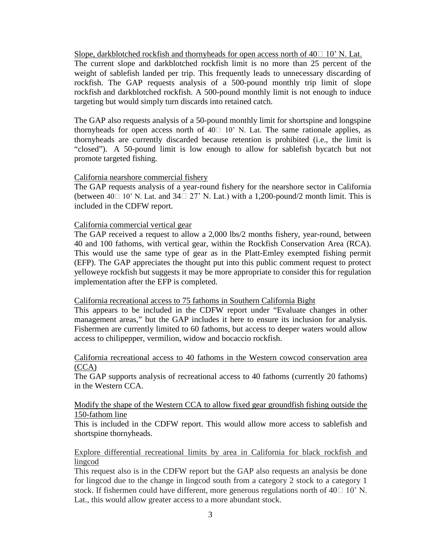Slope, darkblotched rockfish and thornyheads for open access north of  $40\Box$  10' N. Lat.

The current slope and darkblotched rockfish limit is no more than 25 percent of the weight of sablefish landed per trip. This frequently leads to unnecessary discarding of rockfish. The GAP requests analysis of a 500-pound monthly trip limit of slope rockfish and darkblotched rockfish. A 500-pound monthly limit is not enough to induce targeting but would simply turn discards into retained catch.

The GAP also requests analysis of a 50-pound monthly limit for shortspine and longspine thornyheads for open access north of  $40\square$  10' N. Lat. The same rationale applies, as thornyheads are currently discarded because retention is prohibited (i.e., the limit is "closed"). A 50-pound limit is low enough to allow for sablefish bycatch but not promote targeted fishing.

## California nearshore commercial fishery

The GAP requests analysis of a year-round fishery for the nearshore sector in California (between 40 $\Box$  10' N. Lat. and 34 $\Box$  27' N. Lat.) with a 1,200-pound/2 month limit. This is included in the CDFW report.

#### California commercial vertical gear

The GAP received a request to allow a 2,000 lbs/2 months fishery, year-round, between 40 and 100 fathoms, with vertical gear, within the Rockfish Conservation Area (RCA). This would use the same type of gear as in the Platt-Emley exempted fishing permit (EFP). The GAP appreciates the thought put into this public comment request to protect yelloweye rockfish but suggests it may be more appropriate to consider this for regulation implementation after the EFP is completed.

#### California recreational access to 75 fathoms in Southern California Bight

This appears to be included in the CDFW report under "Evaluate changes in other management areas," but the GAP includes it here to ensure its inclusion for analysis. Fishermen are currently limited to 60 fathoms, but access to deeper waters would allow access to chilipepper, vermilion, widow and bocaccio rockfish.

#### California recreational access to 40 fathoms in the Western cowcod conservation area (CCA)

The GAP supports analysis of recreational access to 40 fathoms (currently 20 fathoms) in the Western CCA.

#### Modify the shape of the Western CCA to allow fixed gear groundfish fishing outside the 150-fathom line

This is included in the CDFW report. This would allow more access to sablefish and shortspine thornyheads.

## Explore differential recreational limits by area in California for black rockfish and lingcod

This request also is in the CDFW report but the GAP also requests an analysis be done for lingcod due to the change in lingcod south from a category 2 stock to a category 1 stock. If fishermen could have different, more generous regulations north of  $40\Box$  10' N. Lat., this would allow greater access to a more abundant stock.